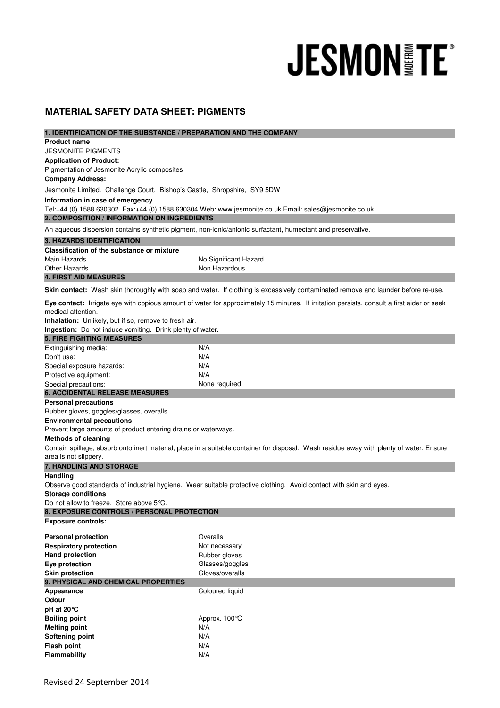# **JESMON FE®**

# **MATERIAL SAFETY DATA SHEET: PIGMENTS**

| 1. IDENTIFICATION OF THE SUBSTANCE / PREPARATION AND THE COMPANY                                                                         |                                                                                                                                            |  |
|------------------------------------------------------------------------------------------------------------------------------------------|--------------------------------------------------------------------------------------------------------------------------------------------|--|
| <b>Product name</b>                                                                                                                      |                                                                                                                                            |  |
| <b>JESMONITE PIGMENTS</b>                                                                                                                |                                                                                                                                            |  |
| <b>Application of Product:</b>                                                                                                           |                                                                                                                                            |  |
| Pigmentation of Jesmonite Acrylic composites                                                                                             |                                                                                                                                            |  |
| <b>Company Address:</b>                                                                                                                  |                                                                                                                                            |  |
| Jesmonite Limited. Challenge Court, Bishop's Castle, Shropshire, SY9 5DW                                                                 |                                                                                                                                            |  |
| Information in case of emergency                                                                                                         |                                                                                                                                            |  |
|                                                                                                                                          | Tel:+44 (0) 1588 630302 Fax:+44 (0) 1588 630304 Web: www.jesmonite.co.uk Email: sales@jesmonite.co.uk                                      |  |
| 2. COMPOSITION / INFORMATION ON INGREDIENTS                                                                                              |                                                                                                                                            |  |
| An aqueous dispersion contains synthetic pigment, non-ionic/anionic surfactant, humectant and preservative.                              |                                                                                                                                            |  |
| <b>3. HAZARDS IDENTIFICATION</b>                                                                                                         |                                                                                                                                            |  |
| <b>Classification of the substance or mixture</b>                                                                                        |                                                                                                                                            |  |
| Main Hazards                                                                                                                             | No Significant Hazard                                                                                                                      |  |
| <b>Other Hazards</b>                                                                                                                     | Non Hazardous                                                                                                                              |  |
| <b>4. FIRST AID MEASURES</b>                                                                                                             |                                                                                                                                            |  |
| Skin contact: Wash skin thoroughly with soap and water. If clothing is excessively contaminated remove and launder before re-use.        |                                                                                                                                            |  |
|                                                                                                                                          | Eye contact: Irrigate eye with copious amount of water for approximately 15 minutes. If irritation persists, consult a first aider or seek |  |
| medical attention.                                                                                                                       |                                                                                                                                            |  |
| Inhalation: Unlikely, but if so, remove to fresh air.                                                                                    |                                                                                                                                            |  |
| Ingestion: Do not induce vomiting. Drink plenty of water.                                                                                |                                                                                                                                            |  |
| <b>5. FIRE FIGHTING MEASURES</b>                                                                                                         |                                                                                                                                            |  |
| Extinguishing media:                                                                                                                     | N/A                                                                                                                                        |  |
| Don't use:                                                                                                                               | N/A                                                                                                                                        |  |
| Special exposure hazards:                                                                                                                | N/A                                                                                                                                        |  |
| Protective equipment:                                                                                                                    | N/A                                                                                                                                        |  |
| Special precautions:                                                                                                                     | None required                                                                                                                              |  |
| <b>6. ACCIDENTAL RELEASE MEASURES</b>                                                                                                    |                                                                                                                                            |  |
| <b>Personal precautions</b>                                                                                                              |                                                                                                                                            |  |
| Rubber gloves, goggles/glasses, overalls.                                                                                                |                                                                                                                                            |  |
| <b>Environmental precautions</b>                                                                                                         |                                                                                                                                            |  |
| Prevent large amounts of product entering drains or waterways.                                                                           |                                                                                                                                            |  |
| <b>Methods of cleaning</b>                                                                                                               |                                                                                                                                            |  |
| Contain spillage, absorb onto inert material, place in a suitable container for disposal. Wash residue away with plenty of water. Ensure |                                                                                                                                            |  |
| area is not slippery.                                                                                                                    |                                                                                                                                            |  |
| 7. HANDLING AND STORAGE                                                                                                                  |                                                                                                                                            |  |
| Handling                                                                                                                                 |                                                                                                                                            |  |
| Observe good standards of industrial hygiene. Wear suitable protective clothing. Avoid contact with skin and eyes.                       |                                                                                                                                            |  |
| <b>Storage conditions</b><br>Do not allow to freeze. Store above 5°C.                                                                    |                                                                                                                                            |  |
| 8. EXPOSURE CONTROLS / PERSONAL PROTECTION                                                                                               |                                                                                                                                            |  |
| <b>Exposure controls:</b>                                                                                                                |                                                                                                                                            |  |
|                                                                                                                                          |                                                                                                                                            |  |
| <b>Personal protection</b>                                                                                                               | Overalls                                                                                                                                   |  |
| <b>Respiratory protection</b>                                                                                                            | Not necessary                                                                                                                              |  |
| <b>Hand protection</b>                                                                                                                   | Rubber gloves                                                                                                                              |  |
| Eye protection                                                                                                                           | Glasses/goggles                                                                                                                            |  |
| <b>Skin protection</b>                                                                                                                   | Gloves/overalls                                                                                                                            |  |
| 9. PHYSICAL AND CHEMICAL PROPERTIES                                                                                                      |                                                                                                                                            |  |
| Appearance                                                                                                                               | Coloured liquid                                                                                                                            |  |
| Odour                                                                                                                                    |                                                                                                                                            |  |
| pH at 20 °C                                                                                                                              |                                                                                                                                            |  |
| <b>Boiling point</b><br><b>Melting point</b>                                                                                             | Approx. 100 ℃<br>N/A                                                                                                                       |  |
| Softening point                                                                                                                          | N/A                                                                                                                                        |  |
| <b>Flash point</b>                                                                                                                       | N/A                                                                                                                                        |  |
| Flammability                                                                                                                             | N/A                                                                                                                                        |  |
|                                                                                                                                          |                                                                                                                                            |  |